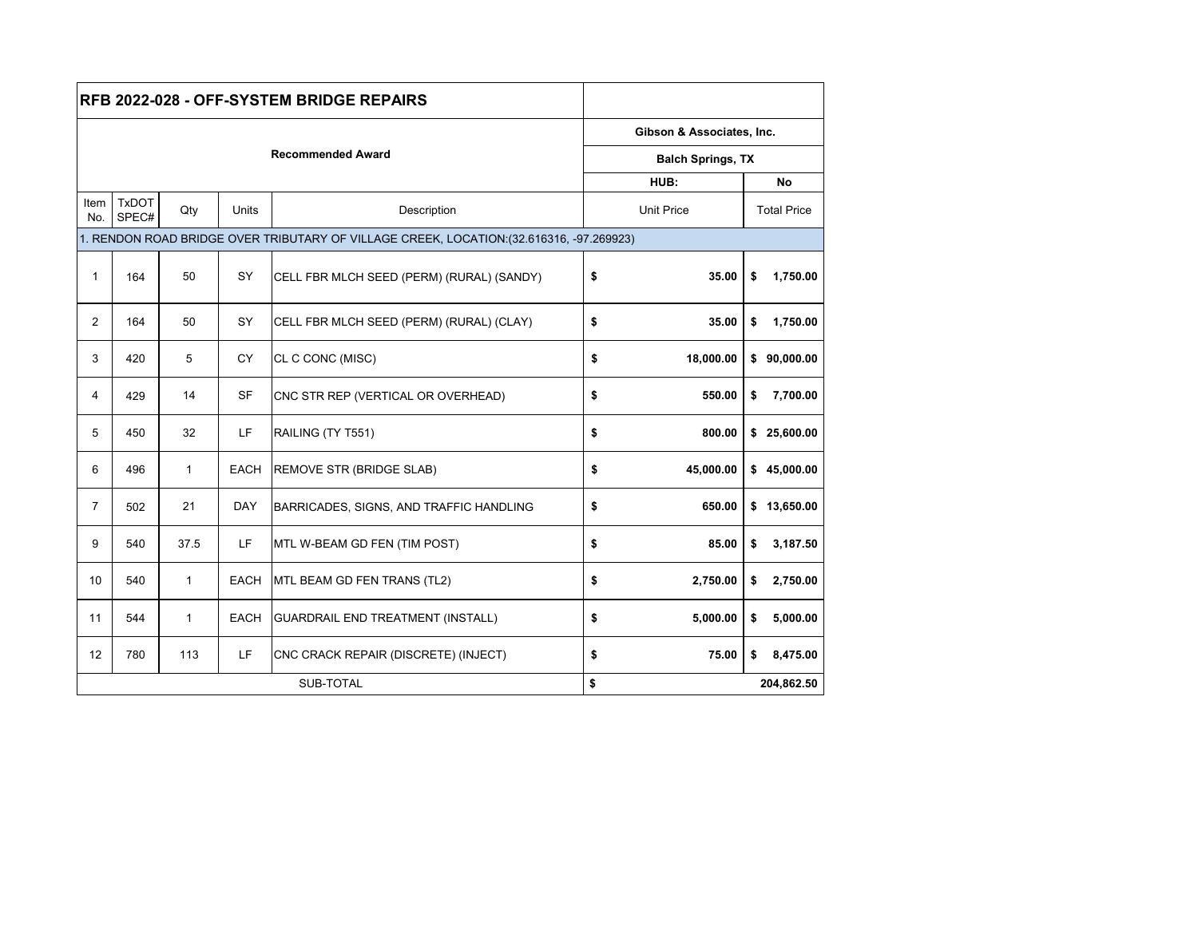| <b>RFB 2022-028 - OFF-SYSTEM BRIDGE REPAIRS</b>                                          |                       |              |              |                                           |    |                           |            |                    |  |  |
|------------------------------------------------------------------------------------------|-----------------------|--------------|--------------|-------------------------------------------|----|---------------------------|------------|--------------------|--|--|
|                                                                                          |                       |              |              |                                           |    | Gibson & Associates, Inc. |            |                    |  |  |
|                                                                                          |                       |              |              | <b>Balch Springs, TX</b>                  |    |                           |            |                    |  |  |
|                                                                                          |                       |              |              |                                           |    | HUB:                      |            |                    |  |  |
| Item<br>No.                                                                              | <b>TxDOT</b><br>SPEC# | Qty          | <b>Units</b> | Description                               |    | <b>Unit Price</b>         |            | <b>Total Price</b> |  |  |
| 1. RENDON ROAD BRIDGE OVER TRIBUTARY OF VILLAGE CREEK, LOCATION: (32.616316, -97.269923) |                       |              |              |                                           |    |                           |            |                    |  |  |
| $\mathbf{1}$                                                                             | 164                   | 50           | SY           | CELL FBR MLCH SEED (PERM) (RURAL) (SANDY) | \$ | 35.00                     | \$         | 1,750.00           |  |  |
| 2                                                                                        | 164                   | 50           | SY           | CELL FBR MLCH SEED (PERM) (RURAL) (CLAY)  | \$ | 35.00                     | \$         | 1,750.00           |  |  |
| 3                                                                                        | 420                   | 5            | <b>CY</b>    | CL C CONC (MISC)                          | \$ | 18,000.00                 |            | \$90,000.00        |  |  |
| 4                                                                                        | 429                   | 14           | <b>SF</b>    | CNC STR REP (VERTICAL OR OVERHEAD)        | \$ | 550.00                    | \$         | 7,700.00           |  |  |
| 5                                                                                        | 450                   | 32           | LF.          | RAILING (TY T551)                         | \$ | 800.00                    |            | \$25,600.00        |  |  |
| 6                                                                                        | 496                   | $\mathbf{1}$ | <b>EACH</b>  | REMOVE STR (BRIDGE SLAB)                  | \$ | 45,000.00                 |            | \$45,000.00        |  |  |
| $\overline{7}$                                                                           | 502                   | 21           | <b>DAY</b>   | BARRICADES, SIGNS, AND TRAFFIC HANDLING   | \$ | 650.00                    |            | \$13,650.00        |  |  |
| 9                                                                                        | 540                   | 37.5         | <b>LF</b>    | MTL W-BEAM GD FEN (TIM POST)              | \$ | 85.00                     | \$         | 3,187.50           |  |  |
| 10 <sup>°</sup>                                                                          | 540                   | $\mathbf{1}$ | <b>EACH</b>  | MTL BEAM GD FEN TRANS (TL2)               | \$ | 2,750.00                  | \$         | 2,750.00           |  |  |
| 11                                                                                       | 544                   | $\mathbf{1}$ | <b>EACH</b>  | <b>GUARDRAIL END TREATMENT (INSTALL)</b>  | \$ | 5,000.00                  | \$         | 5,000.00           |  |  |
| 12                                                                                       | 780                   | 113          | LF.          | CNC CRACK REPAIR (DISCRETE) (INJECT)      | \$ | 75.00                     | \$         | 8,475.00           |  |  |
|                                                                                          |                       |              |              | \$                                        |    |                           | 204,862.50 |                    |  |  |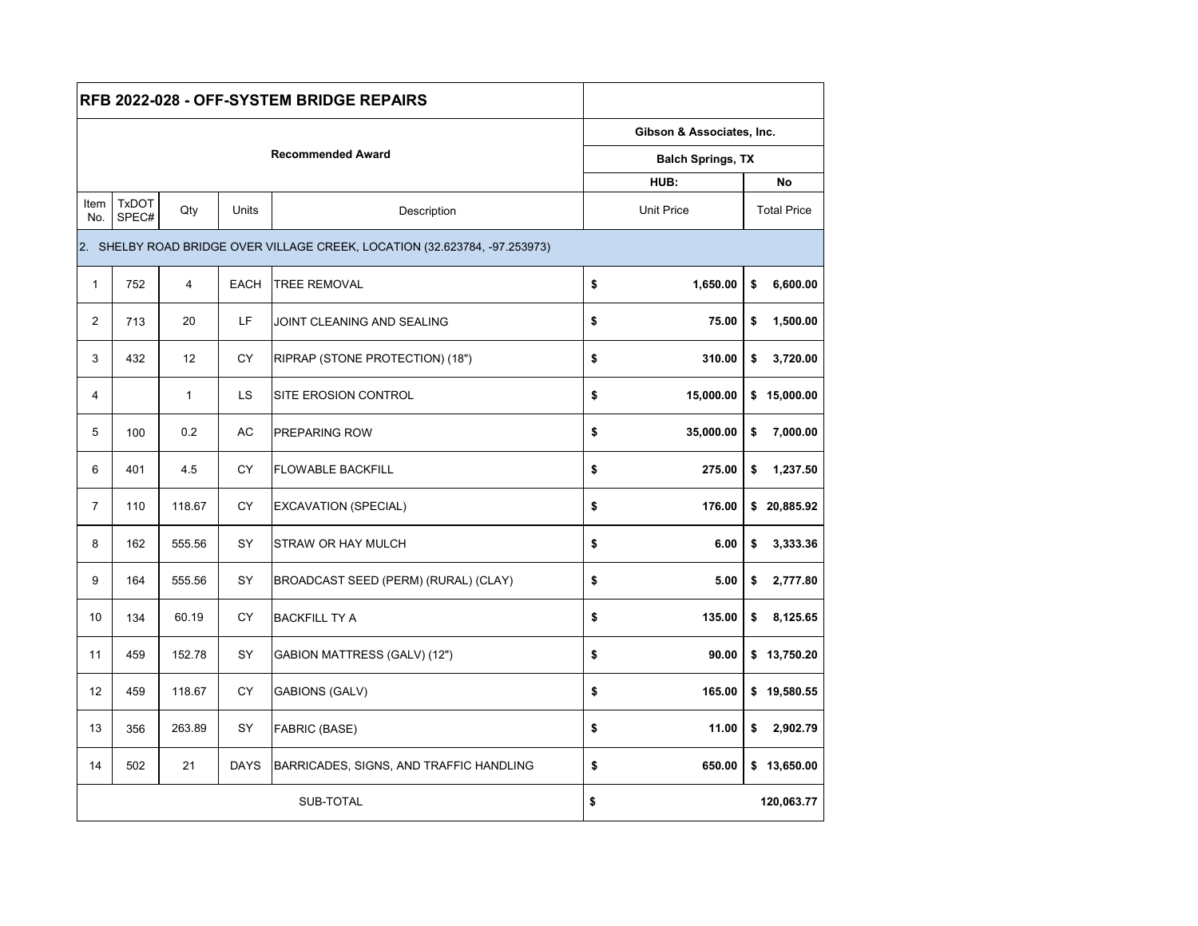| RFB 2022-028 - OFF-SYSTEM BRIDGE REPAIRS |                                                                            |                |             |                                         |    |                           |            |                    |  |  |
|------------------------------------------|----------------------------------------------------------------------------|----------------|-------------|-----------------------------------------|----|---------------------------|------------|--------------------|--|--|
| <b>Recommended Award</b>                 |                                                                            |                |             |                                         |    | Gibson & Associates, Inc. |            |                    |  |  |
|                                          |                                                                            |                |             |                                         |    | <b>Balch Springs, TX</b>  |            |                    |  |  |
|                                          |                                                                            |                |             | HUB:                                    |    |                           | No         |                    |  |  |
| Item<br>No.                              | <b>TxDOT</b><br>SPEC#                                                      | Qty            | Units       | Description                             |    | <b>Unit Price</b>         |            | <b>Total Price</b> |  |  |
|                                          | 2. SHELBY ROAD BRIDGE OVER VILLAGE CREEK, LOCATION (32.623784, -97.253973) |                |             |                                         |    |                           |            |                    |  |  |
| $\mathbf{1}$                             | 752                                                                        | $\overline{4}$ | <b>EACH</b> | <b>TREE REMOVAL</b>                     | \$ | 1,650.00                  | \$         | 6,600.00           |  |  |
| $\overline{2}$                           | 713                                                                        | 20             | LF          | JOINT CLEANING AND SEALING              | \$ | 75.00                     | \$         | 1,500.00           |  |  |
| 3                                        | 432                                                                        | 12             | <b>CY</b>   | RIPRAP (STONE PROTECTION) (18")         | \$ | 310.00                    | \$         | 3,720.00           |  |  |
| 4                                        |                                                                            | $\mathbf{1}$   | LS.         | SITE EROSION CONTROL                    | \$ | 15,000.00                 |            | \$15,000.00        |  |  |
| 5                                        | 100                                                                        | 0.2            | AC          | PREPARING ROW                           | \$ | 35,000.00                 | \$         | 7,000.00           |  |  |
| 6                                        | 401                                                                        | 4.5            | <b>CY</b>   | <b>FLOWABLE BACKFILL</b>                | \$ | 275.00                    | \$         | 1,237.50           |  |  |
| $\overline{7}$                           | 110                                                                        | 118.67         | <b>CY</b>   | <b>EXCAVATION (SPECIAL)</b>             | \$ | 176.00                    |            | \$20,885.92        |  |  |
| 8                                        | 162                                                                        | 555.56         | SY          | STRAW OR HAY MULCH                      | \$ | 6.00                      | \$         | 3,333.36           |  |  |
| 9                                        | 164                                                                        | 555.56         | SY          | BROADCAST SEED (PERM) (RURAL) (CLAY)    | \$ | 5.00                      | \$         | 2,777.80           |  |  |
| 10                                       | 134                                                                        | 60.19          | <b>CY</b>   | <b>BACKFILL TY A</b>                    | \$ | 135.00                    | \$         | 8,125.65           |  |  |
| 11                                       | 459                                                                        | 152.78         | SY          | GABION MATTRESS (GALV) (12")            | \$ | 90.00                     |            | \$13,750.20        |  |  |
| 12                                       | 459                                                                        | 118.67         | <b>CY</b>   | <b>GABIONS (GALV)</b>                   | \$ | 165.00                    |            | \$19,580.55        |  |  |
| 13                                       | 356                                                                        | 263.89         | SY          | FABRIC (BASE)                           | \$ | 11.00                     | \$         | 2,902.79           |  |  |
| 14                                       | 502                                                                        | 21             | <b>DAYS</b> | BARRICADES, SIGNS, AND TRAFFIC HANDLING | \$ | 650.00                    |            | \$13,650.00        |  |  |
|                                          |                                                                            |                |             | \$                                      |    |                           | 120,063.77 |                    |  |  |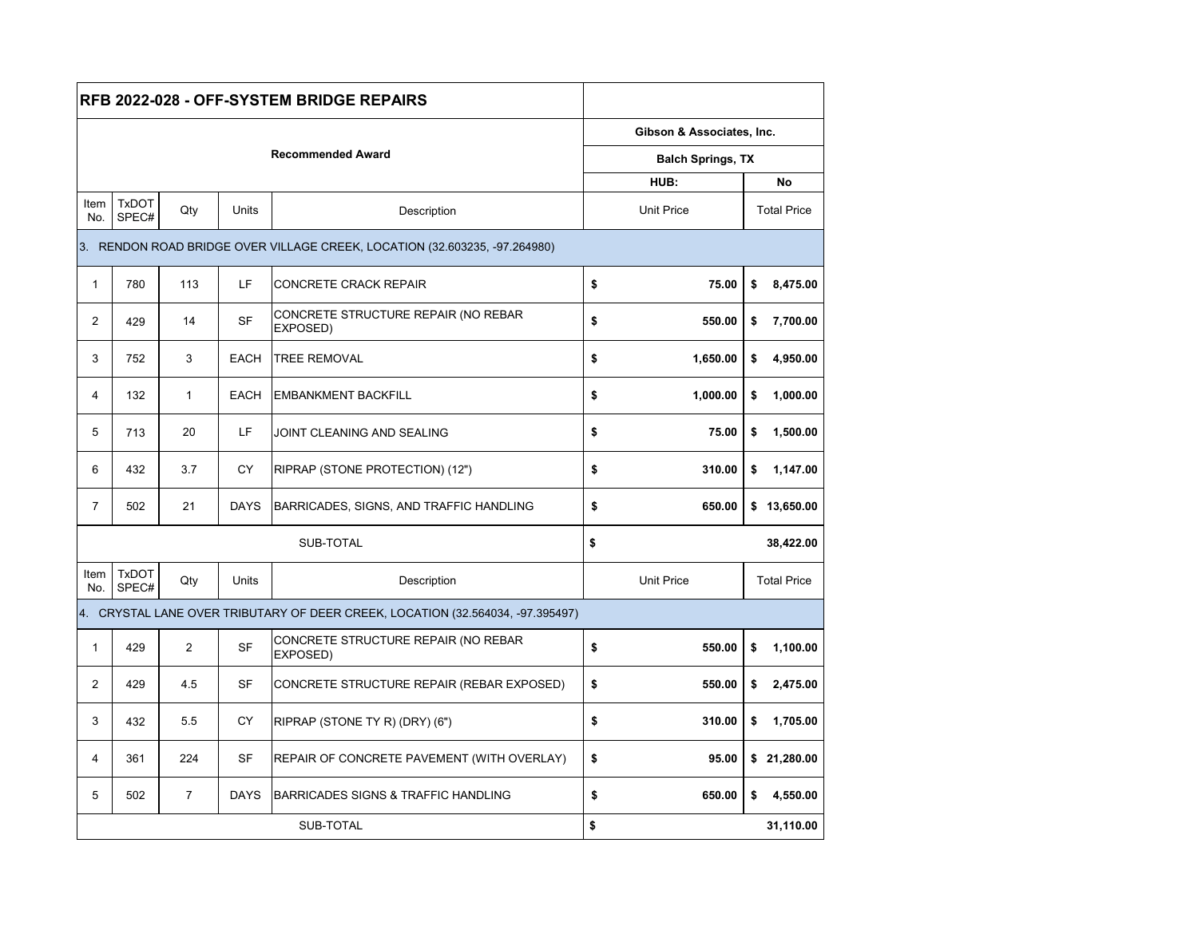|                                                                            |                                                                                |                |             | RFB 2022-028 - OFF-SYSTEM BRIDGE REPAIRS        |    |                           |           |                    |  |  |  |
|----------------------------------------------------------------------------|--------------------------------------------------------------------------------|----------------|-------------|-------------------------------------------------|----|---------------------------|-----------|--------------------|--|--|--|
|                                                                            |                                                                                |                |             |                                                 |    | Gibson & Associates, Inc. |           |                    |  |  |  |
|                                                                            |                                                                                |                |             | <b>Balch Springs, TX</b>                        |    |                           |           |                    |  |  |  |
|                                                                            |                                                                                |                |             | HUB:                                            |    |                           | <b>No</b> |                    |  |  |  |
| Item<br>No.                                                                | <b>TxDOT</b><br>SPEC#                                                          | Qty            | Units       | Description                                     |    | <b>Unit Price</b>         |           | <b>Total Price</b> |  |  |  |
| 3. RENDON ROAD BRIDGE OVER VILLAGE CREEK, LOCATION (32.603235, -97.264980) |                                                                                |                |             |                                                 |    |                           |           |                    |  |  |  |
| $\mathbf{1}$                                                               | 780                                                                            | 113            | LF          | <b>CONCRETE CRACK REPAIR</b>                    | \$ | 75.00                     | \$        | 8,475.00           |  |  |  |
| $\overline{2}$                                                             | 429                                                                            | 14             | <b>SF</b>   | CONCRETE STRUCTURE REPAIR (NO REBAR<br>EXPOSED) | \$ | 550.00                    | \$        | 7,700.00           |  |  |  |
| 3                                                                          | 752                                                                            | 3              | <b>EACH</b> | <b>TREE REMOVAL</b>                             | \$ | 1,650.00                  | \$        | 4.950.00           |  |  |  |
| $\overline{4}$                                                             | 132                                                                            | $\mathbf{1}$   | <b>EACH</b> | <b>EMBANKMENT BACKFILL</b>                      | \$ | 1,000.00                  | \$        | 1,000.00           |  |  |  |
| 5                                                                          | 713                                                                            | 20             | LF          | JOINT CLEANING AND SEALING                      | \$ | 75.00                     | \$        | 1,500.00           |  |  |  |
| 6                                                                          | 432                                                                            | 3.7            | <b>CY</b>   | RIPRAP (STONE PROTECTION) (12")                 | \$ | 310.00                    | \$        | 1,147.00           |  |  |  |
| $\overline{7}$                                                             | 502                                                                            | 21             | <b>DAYS</b> | BARRICADES, SIGNS, AND TRAFFIC HANDLING         | \$ | 650.00                    |           | \$13,650.00        |  |  |  |
|                                                                            |                                                                                |                |             | \$                                              |    |                           | 38,422.00 |                    |  |  |  |
| Item<br>No.                                                                | <b>TxDOT</b><br>SPEC#                                                          | Qty            | Units       | Description                                     |    | <b>Unit Price</b>         |           | <b>Total Price</b> |  |  |  |
|                                                                            | 4. CRYSTAL LANE OVER TRIBUTARY OF DEER CREEK, LOCATION (32.564034, -97.395497) |                |             |                                                 |    |                           |           |                    |  |  |  |
| $\mathbf{1}$                                                               | 429                                                                            | 2              | <b>SF</b>   | CONCRETE STRUCTURE REPAIR (NO REBAR<br>EXPOSED) | \$ | 550.00                    | \$        | 1,100.00           |  |  |  |
| $\overline{2}$                                                             | 429                                                                            | 4.5            | <b>SF</b>   | CONCRETE STRUCTURE REPAIR (REBAR EXPOSED)       | \$ | 550.00                    | \$        | 2,475.00           |  |  |  |
| 3                                                                          | 432                                                                            | 5.5            | <b>CY</b>   | RIPRAP (STONE TY R) (DRY) (6")                  | \$ | 310.00                    | \$        | 1,705.00           |  |  |  |
| $\overline{\mathbf{4}}$                                                    | 361                                                                            | 224            | <b>SF</b>   | REPAIR OF CONCRETE PAVEMENT (WITH OVERLAY)      | \$ | 95.00                     |           | \$21,280.00        |  |  |  |
| 5                                                                          | 502                                                                            | $\overline{7}$ | <b>DAYS</b> | BARRICADES SIGNS & TRAFFIC HANDLING             | \$ | 650.00                    | \$        | 4,550.00           |  |  |  |
|                                                                            |                                                                                |                |             | \$                                              |    |                           | 31,110.00 |                    |  |  |  |